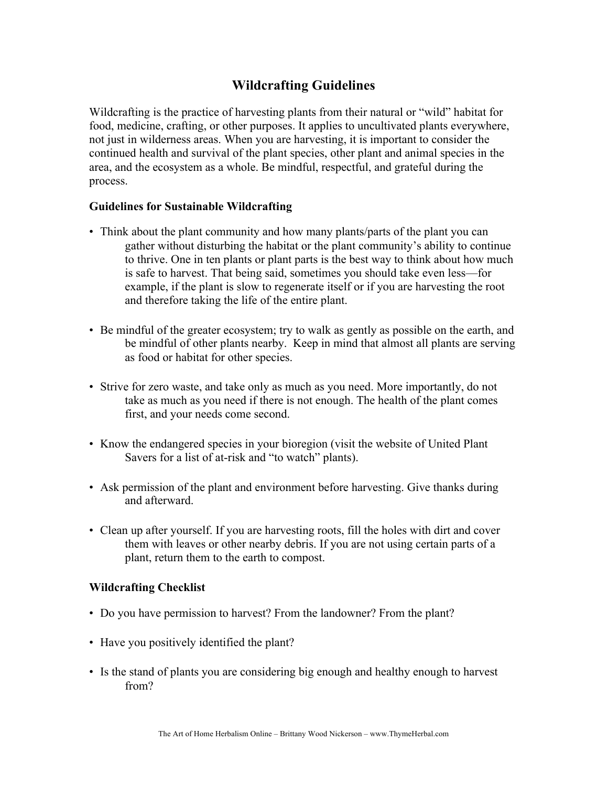## **Wildcrafting Guidelines**

Wildcrafting is the practice of harvesting plants from their natural or "wild" habitat for food, medicine, crafting, or other purposes. It applies to uncultivated plants everywhere, not just in wilderness areas. When you are harvesting, it is important to consider the continued health and survival of the plant species, other plant and animal species in the area, and the ecosystem as a whole. Be mindful, respectful, and grateful during the process.

## **Guidelines for Sustainable Wildcrafting**

- Think about the plant community and how many plants/parts of the plant you can gather without disturbing the habitat or the plant community's ability to continue to thrive. One in ten plants or plant parts is the best way to think about how much is safe to harvest. That being said, sometimes you should take even less—for example, if the plant is slow to regenerate itself or if you are harvesting the root and therefore taking the life of the entire plant.
- Be mindful of the greater ecosystem; try to walk as gently as possible on the earth, and be mindful of other plants nearby. Keep in mind that almost all plants are serving as food or habitat for other species.
- Strive for zero waste, and take only as much as you need. More importantly, do not take as much as you need if there is not enough. The health of the plant comes first, and your needs come second.
- Know the endangered species in your bioregion (visit the website of United Plant Savers for a list of at-risk and "to watch" plants).
- Ask permission of the plant and environment before harvesting. Give thanks during and afterward.
- Clean up after yourself. If you are harvesting roots, fill the holes with dirt and cover them with leaves or other nearby debris. If you are not using certain parts of a plant, return them to the earth to compost.

## **Wildcrafting Checklist**

- Do you have permission to harvest? From the landowner? From the plant?
- Have you positively identified the plant?
- Is the stand of plants you are considering big enough and healthy enough to harvest from?